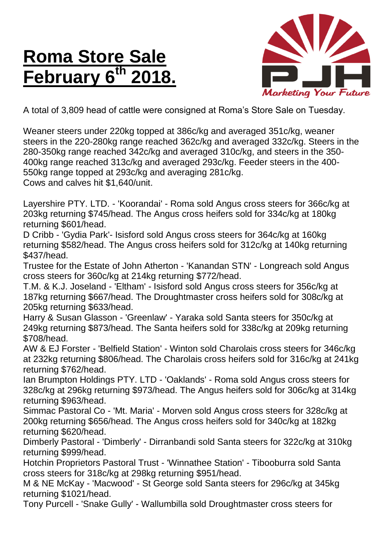## **Roma Store Sale <u>February</u>** 6<sup>th</sup>



A total of 3,809 head of cattle were consigned at Roma's Store Sale on Tuesday.

Weaner steers under 220kg topped at 386c/kg and averaged 351c/kg, weaner steers in the 220-280kg range reached 362c/kg and averaged 332c/kg. Steers in the 280-350kg range reached 342c/kg and averaged 310c/kg, and steers in the 350- 400kg range reached 313c/kg and averaged 293c/kg. Feeder steers in the 400- 550kg range topped at 293c/kg and averaging 281c/kg. Cows and calves hit \$1,640/unit.

Layershire PTY. LTD. - 'Koorandai' - Roma sold Angus cross steers for 366c/kg at 203kg returning \$745/head. The Angus cross heifers sold for 334c/kg at 180kg returning \$601/head.

D Cribb - 'Gydia Park'- Isisford sold Angus cross steers for 364c/kg at 160kg returning \$582/head. The Angus cross heifers sold for 312c/kg at 140kg returning \$437/head.

Trustee for the Estate of John Atherton - 'Kanandan STN' - Longreach sold Angus cross steers for 360c/kg at 214kg returning \$772/head.

T.M. & K.J. Joseland - 'Eltham' - Isisford sold Angus cross steers for 356c/kg at 187kg returning \$667/head. The Droughtmaster cross heifers sold for 308c/kg at 205kg returning \$633/head.

Harry & Susan Glasson - 'Greenlaw' - Yaraka sold Santa steers for 350c/kg at 249kg returning \$873/head. The Santa heifers sold for 338c/kg at 209kg returning \$708/head.

AW & EJ Forster - 'Belfield Station' - Winton sold Charolais cross steers for 346c/kg at 232kg returning \$806/head. The Charolais cross heifers sold for 316c/kg at 241kg returning \$762/head.

Ian Brumpton Holdings PTY. LTD - 'Oaklands' - Roma sold Angus cross steers for 328c/kg at 296kg returning \$973/head. The Angus heifers sold for 306c/kg at 314kg returning \$963/head.

Simmac Pastoral Co - 'Mt. Maria' - Morven sold Angus cross steers for 328c/kg at 200kg returning \$656/head. The Angus cross heifers sold for 340c/kg at 182kg returning \$620/head.

Dimberly Pastoral - 'Dimberly' - Dirranbandi sold Santa steers for 322c/kg at 310kg returning \$999/head.

Hotchin Proprietors Pastoral Trust - 'Winnathee Station' - Tibooburra sold Santa cross steers for 318c/kg at 298kg returning \$951/head.

M & NE McKay - 'Macwood' - St George sold Santa steers for 296c/kg at 345kg returning \$1021/head.

Tony Purcell - 'Snake Gully' - Wallumbilla sold Droughtmaster cross steers for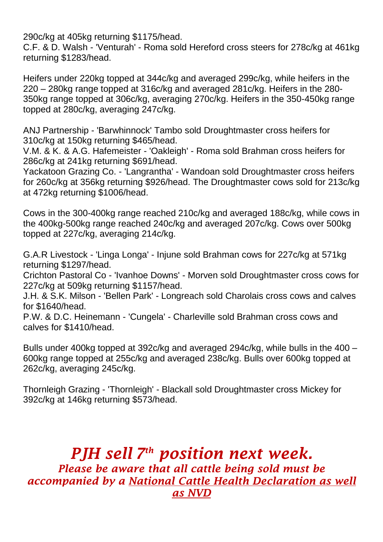290c/kg at 405kg returning \$1175/head.

C.F. & D. Walsh - 'Venturah' - Roma sold Hereford cross steers for 278c/kg at 461kg returning \$1283/head.

Heifers under 220kg topped at 344c/kg and averaged 299c/kg, while heifers in the 220 – 280kg range topped at 316c/kg and averaged 281c/kg. Heifers in the 280- 350kg range topped at 306c/kg, averaging 270c/kg. Heifers in the 350-450kg range topped at 280c/kg, averaging 247c/kg.

ANJ Partnership - 'Barwhinnock' Tambo sold Droughtmaster cross heifers for 310c/kg at 150kg returning \$465/head.

V.M. & K. & A.G. Hafemeister - 'Oakleigh' - Roma sold Brahman cross heifers for 286c/kg at 241kg returning \$691/head.

Yackatoon Grazing Co. - 'Langrantha' - Wandoan sold Droughtmaster cross heifers for 260c/kg at 356kg returning \$926/head. The Droughtmaster cows sold for 213c/kg at 472kg returning \$1006/head.

Cows in the 300-400kg range reached 210c/kg and averaged 188c/kg, while cows in the 400kg-500kg range reached 240c/kg and averaged 207c/kg. Cows over 500kg topped at 227c/kg, averaging 214c/kg.

G.A.R Livestock - 'Linga Longa' - Injune sold Brahman cows for 227c/kg at 571kg returning \$1297/head.

Crichton Pastoral Co - 'Ivanhoe Downs' - Morven sold Droughtmaster cross cows for 227c/kg at 509kg returning \$1157/head.

J.H. & S.K. Milson - 'Bellen Park' - Longreach sold Charolais cross cows and calves for \$1640/head.

P.W. & D.C. Heinemann - 'Cungela' - Charleville sold Brahman cross cows and calves for \$1410/head.

Bulls under 400kg topped at 392c/kg and averaged 294c/kg, while bulls in the 400 – 600kg range topped at 255c/kg and averaged 238c/kg. Bulls over 600kg topped at 262c/kg, averaging 245c/kg.

Thornleigh Grazing - 'Thornleigh' - Blackall sold Droughtmaster cross Mickey for 392c/kg at 146kg returning \$573/head.

*PJH sell 7 th position next week. Please be aware that all cattle being sold must be accompanied by a National Cattle Health Declaration as well as NVD*